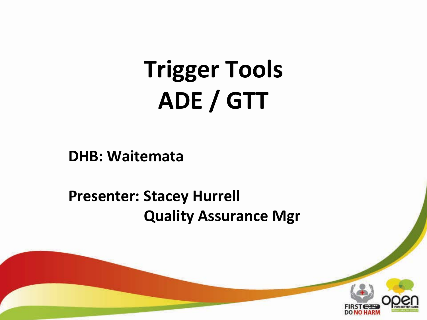# **Trigger Tools ADE / GTT**

**DHB: Waitemata**

### **Presenter: Stacey Hurrell Quality Assurance Mgr**

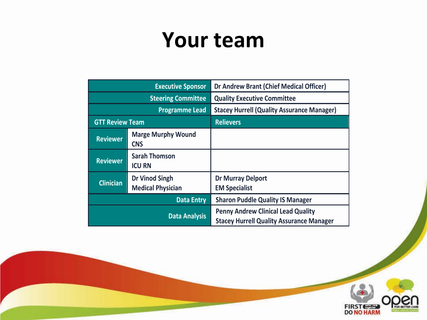### **Your team**

| <b>Executive Sponsor</b>  |                                                   | Dr Andrew Brant (Chief Medical Officer)                                                      |
|---------------------------|---------------------------------------------------|----------------------------------------------------------------------------------------------|
| <b>Steering Committee</b> |                                                   | <b>Quality Executive Committee</b>                                                           |
| <b>Programme Lead</b>     |                                                   | <b>Stacey Hurrell (Quality Assurance Manager)</b>                                            |
| <b>GTT Review Team</b>    |                                                   | <b>Relievers</b>                                                                             |
| <b>Reviewer</b>           | <b>Marge Murphy Wound</b><br><b>CNS</b>           |                                                                                              |
| <b>Reviewer</b>           | <b>Sarah Thomson</b><br><b>ICU RN</b>             |                                                                                              |
| <b>Clinician</b>          | <b>Dr Vinod Singh</b><br><b>Medical Physician</b> | <b>Dr Murray Delport</b><br><b>EM Specialist</b>                                             |
| <b>Data Entry</b>         |                                                   | <b>Sharon Puddle Quality IS Manager</b>                                                      |
| <b>Data Analysis</b>      |                                                   | <b>Penny Andrew Clinical Lead Quality</b><br><b>Stacey Hurrell Quality Assurance Manager</b> |

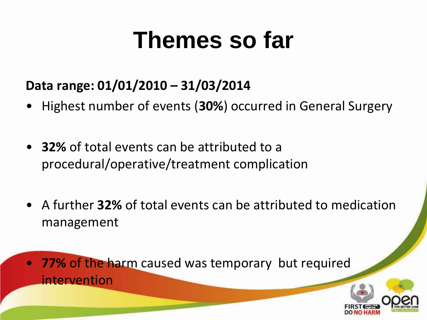# **Themes so far**

### **Data range: 01/01/2010 – 31/03/2014**

- Highest number of events (**30%**) occurred in General Surgery
- **32%** of total events can be attributed to a procedural/operative/treatment complication
- A further **32%** of total events can be attributed to medication management
- **77%** of the harm caused was temporary but required intervention

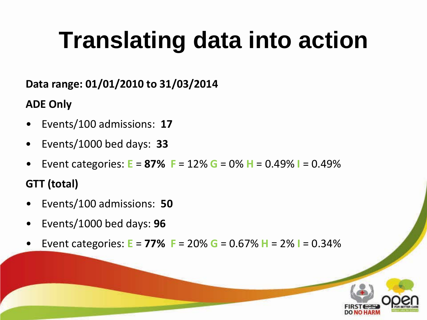# **Translating data into action**

#### **Data range: 01/01/2010 to 31/03/2014**

#### **ADE Only**

- Events/100 admissions: **17**
- Events/1000 bed days: **33**
- Event categories: **E** = **87% F** = 12% **G** = 0% **H** = 0.49% **I** = 0.49%

### **GTT (total)**

- Events/100 admissions: **50**
- Events/1000 bed days: **96**
- Event categories: **E** = **77% F** = 20% **G** = 0.67% **H** = 2% **I** = 0.34%

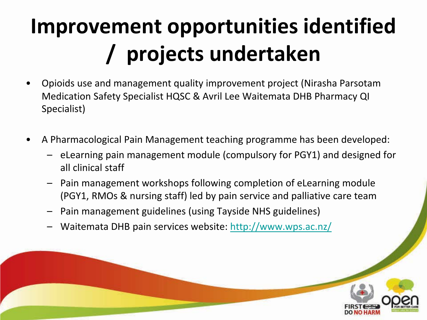# **Improvement opportunities identified / projects undertaken**

- Opioids use and management quality improvement project (Nirasha Parsotam Medication Safety Specialist HQSC & Avril Lee Waitemata DHB Pharmacy QI Specialist)
- A Pharmacological Pain Management teaching programme has been developed:
	- eLearning pain management module (compulsory for PGY1) and designed for all clinical staff
	- Pain management workshops following completion of eLearning module (PGY1, RMOs & nursing staff) led by pain service and palliative care team
	- Pain management guidelines (using Tayside NHS guidelines)
	- Waitemata DHB pain services website: <http://www.wps.ac.nz/>

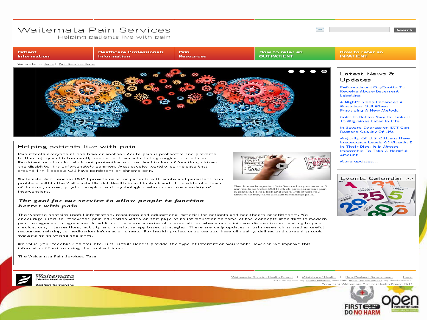#### Waitemata Pain Services

Helping patients live with pain



#### Helping patients live with pain

Pain affects everyone at one time or another. Acute pain is protective and prevents further injury and is frequently seen after trauma including surgical procedures. Persistent or chronic pain is not protective and can lead to loss of function, distress and disability. It is unfortunately common. Most studies world-wide indicate that around 1 in 5 people will have persistent or chronic pain.

Waitemata Pain Services (WPS) provide care for patients with acute and persistent pain problems within the Waitemata District Health Board in Auckland. It consists of a team of doctors, nurses, physiotherapists and psychologists who undertake a variety of interventions.

#### The goal for our service to allow people to function better with pain.

The website contains useful information, resources and educational material for patients and healthcare practitioners. We encourage users to review the pain education video on this page as an introduction to some of the concepts important in modern pain management programmes. In addition there are a series of presentations where our clinicians discuss issues relating to pain medications, interventions, activity and physiotherapy based strategies. There are daily updates in pain research as well as useful resources relating to medication information sheets. For health professionals we also have clinical guidelines and screening tools available to download and print.

We value your feedback on this site. Is it useful? Does it provide the type of information you want? How can we improve this information? Email us using the contact icon.

The Waitemata Pain Services Team



Waitemata ct Health Board **Care for Everyone** 



The Hunter Integrated Pain Service has produced a 5 min Youtube Video (2011) which puts persistent pain in context. Have a look and share with others you know who may have difficult to manage pain.

Colic In Babies May Be Linked

In Severe Depression ECT Can

Inadequate Levels Of Vitamin E In Their Diet; It Is Almost Impossible To Take A Harmful Amount

More updates...

 $\sim$  100  $\sim$  100  $\sim$  100  $\sim$ 



Waitemata District Health Board | Ministry of Health | New Zealand Government | Login Site designed by healthAlliance and DNN Web Development by NetPotential Copyright Waitemata District Health Board 2012



Search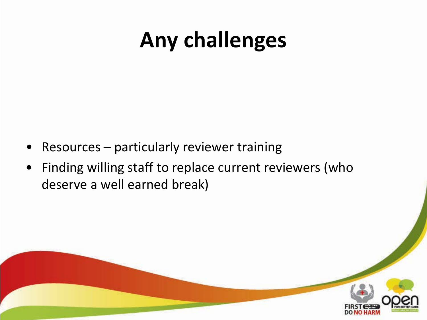## **Any challenges**

- Resources particularly reviewer training
- Finding willing staff to replace current reviewers (who deserve a well earned break)

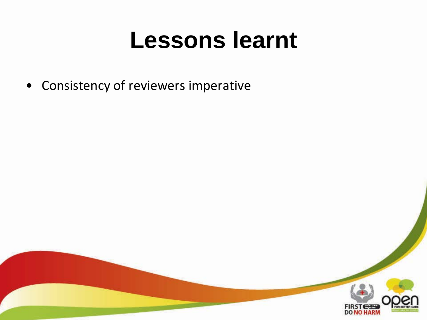## **Lessons learnt**

• Consistency of reviewers imperative